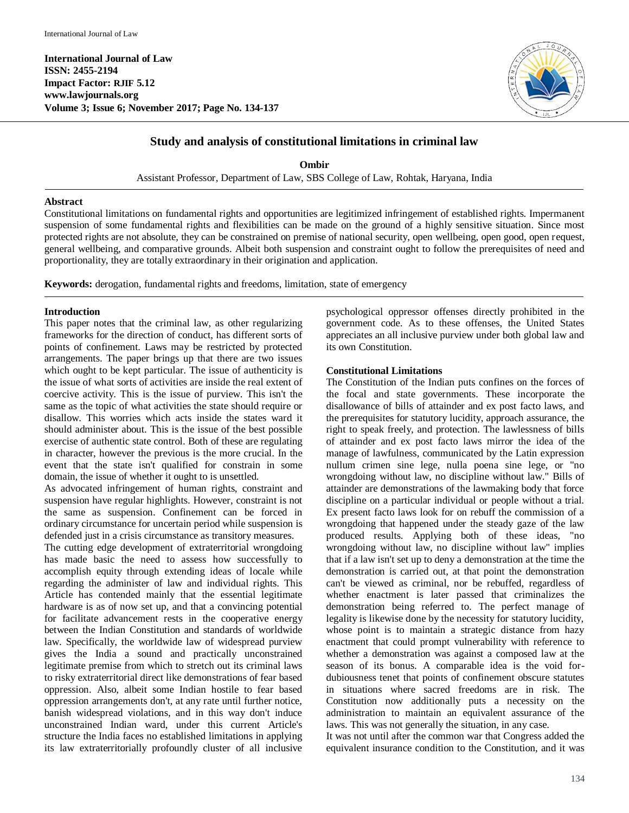**International Journal of Law ISSN: 2455-2194 Impact Factor: RJIF 5.12 www.lawjournals.org Volume 3; Issue 6; November 2017; Page No. 134-137**



# **Study and analysis of constitutional limitations in criminal law**

**Ombir** Assistant Professor, Department of Law, SBS College of Law, Rohtak, Haryana, India

## **Abstract**

Constitutional limitations on fundamental rights and opportunities are legitimized infringement of established rights. Impermanent suspension of some fundamental rights and flexibilities can be made on the ground of a highly sensitive situation. Since most protected rights are not absolute, they can be constrained on premise of national security, open wellbeing, open good, open request, general wellbeing, and comparative grounds. Albeit both suspension and constraint ought to follow the prerequisites of need and proportionality, they are totally extraordinary in their origination and application.

**Keywords:** derogation, fundamental rights and freedoms, limitation, state of emergency

#### **Introduction**

This paper notes that the criminal law, as other regularizing frameworks for the direction of conduct, has different sorts of points of confinement. Laws may be restricted by protected arrangements. The paper brings up that there are two issues which ought to be kept particular. The issue of authenticity is the issue of what sorts of activities are inside the real extent of coercive activity. This is the issue of purview. This isn't the same as the topic of what activities the state should require or disallow. This worries which acts inside the states ward it should administer about. This is the issue of the best possible exercise of authentic state control. Both of these are regulating in character, however the previous is the more crucial. In the event that the state isn't qualified for constrain in some domain, the issue of whether it ought to is unsettled.

As advocated infringement of human rights, constraint and suspension have regular highlights. However, constraint is not the same as suspension. Confinement can be forced in ordinary circumstance for uncertain period while suspension is defended just in a crisis circumstance as transitory measures.

The cutting edge development of extraterritorial wrongdoing has made basic the need to assess how successfully to accomplish equity through extending ideas of locale while regarding the administer of law and individual rights. This Article has contended mainly that the essential legitimate hardware is as of now set up, and that a convincing potential for facilitate advancement rests in the cooperative energy between the Indian Constitution and standards of worldwide law. Specifically, the worldwide law of widespread purview gives the India a sound and practically unconstrained legitimate premise from which to stretch out its criminal laws to risky extraterritorial direct like demonstrations of fear based oppression. Also, albeit some Indian hostile to fear based oppression arrangements don't, at any rate until further notice, banish widespread violations, and in this way don't induce unconstrained Indian ward, under this current Article's structure the India faces no established limitations in applying its law extraterritorially profoundly cluster of all inclusive

psychological oppressor offenses directly prohibited in the government code. As to these offenses, the United States appreciates an all inclusive purview under both global law and its own Constitution.

## **Constitutional Limitations**

The Constitution of the Indian puts confines on the forces of the focal and state governments. These incorporate the disallowance of bills of attainder and ex post facto laws, and the prerequisites for statutory lucidity, approach assurance, the right to speak freely, and protection. The lawlessness of bills of attainder and ex post facto laws mirror the idea of the manage of lawfulness, communicated by the Latin expression nullum crimen sine lege, nulla poena sine lege, or "no wrongdoing without law, no discipline without law." Bills of attainder are demonstrations of the lawmaking body that force discipline on a particular individual or people without a trial. Ex present facto laws look for on rebuff the commission of a wrongdoing that happened under the steady gaze of the law produced results. Applying both of these ideas, "no wrongdoing without law, no discipline without law" implies that if a law isn't set up to deny a demonstration at the time the demonstration is carried out, at that point the demonstration can't be viewed as criminal, nor be rebuffed, regardless of whether enactment is later passed that criminalizes the demonstration being referred to. The perfect manage of legality is likewise done by the necessity for statutory lucidity, whose point is to maintain a strategic distance from hazy enactment that could prompt vulnerability with reference to whether a demonstration was against a composed law at the season of its bonus. A comparable idea is the void fordubiousness tenet that points of confinement obscure statutes in situations where sacred freedoms are in risk. The Constitution now additionally puts a necessity on the administration to maintain an equivalent assurance of the laws. This was not generally the situation, in any case.

It was not until after the common war that Congress added the equivalent insurance condition to the Constitution, and it was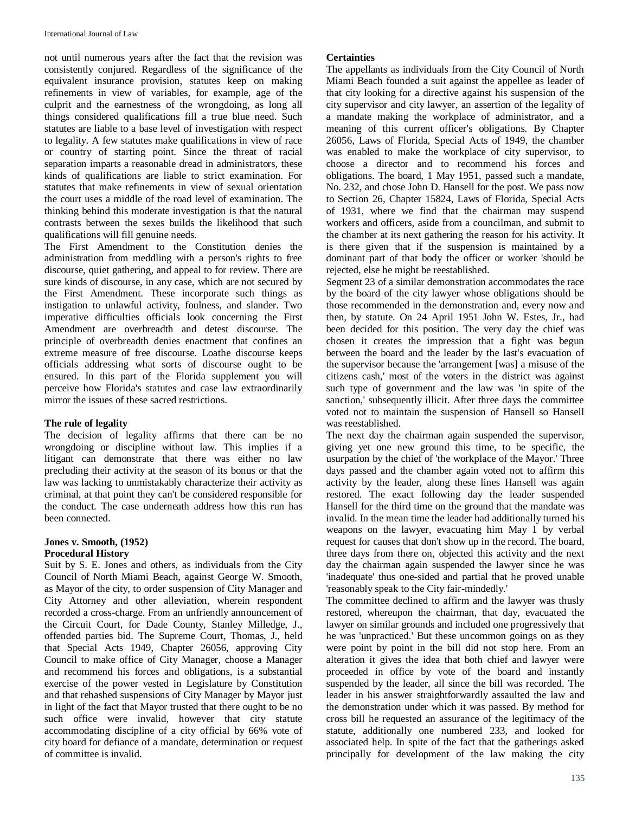not until numerous years after the fact that the revision was consistently conjured. Regardless of the significance of the equivalent insurance provision, statutes keep on making refinements in view of variables, for example, age of the culprit and the earnestness of the wrongdoing, as long all things considered qualifications fill a true blue need. Such statutes are liable to a base level of investigation with respect to legality. A few statutes make qualifications in view of race or country of starting point. Since the threat of racial separation imparts a reasonable dread in administrators, these kinds of qualifications are liable to strict examination. For statutes that make refinements in view of sexual orientation the court uses a middle of the road level of examination. The thinking behind this moderate investigation is that the natural contrasts between the sexes builds the likelihood that such qualifications will fill genuine needs.

The First Amendment to the Constitution denies the administration from meddling with a person's rights to free discourse, quiet gathering, and appeal to for review. There are sure kinds of discourse, in any case, which are not secured by the First Amendment. These incorporate such things as instigation to unlawful activity, foulness, and slander. Two imperative difficulties officials look concerning the First Amendment are overbreadth and detest discourse. The principle of overbreadth denies enactment that confines an extreme measure of free discourse. Loathe discourse keeps officials addressing what sorts of discourse ought to be ensured. In this part of the Florida supplement you will perceive how Florida's statutes and case law extraordinarily mirror the issues of these sacred restrictions.

#### **The rule of legality**

The decision of legality affirms that there can be no wrongdoing or discipline without law. This implies if a litigant can demonstrate that there was either no law precluding their activity at the season of its bonus or that the law was lacking to unmistakably characterize their activity as criminal, at that point they can't be considered responsible for the conduct. The case underneath address how this run has been connected.

#### **Jones v. Smooth, (1952) Procedural History**

Suit by S. E. Jones and others, as individuals from the City Council of North Miami Beach, against George W. Smooth, as Mayor of the city, to order suspension of City Manager and City Attorney and other alleviation, wherein respondent recorded a cross-charge. From an unfriendly announcement of the Circuit Court, for Dade County, Stanley Milledge, J., offended parties bid. The Supreme Court, Thomas, J., held that Special Acts 1949, Chapter 26056, approving City Council to make office of City Manager, choose a Manager and recommend his forces and obligations, is a substantial exercise of the power vested in Legislature by Constitution and that rehashed suspensions of City Manager by Mayor just in light of the fact that Mayor trusted that there ought to be no such office were invalid, however that city statute accommodating discipline of a city official by 66% vote of city board for defiance of a mandate, determination or request of committee is invalid.

## **Certainties**

The appellants as individuals from the City Council of North Miami Beach founded a suit against the appellee as leader of that city looking for a directive against his suspension of the city supervisor and city lawyer, an assertion of the legality of a mandate making the workplace of administrator, and a meaning of this current officer's obligations. By Chapter 26056, Laws of Florida, Special Acts of 1949, the chamber was enabled to make the workplace of city supervisor, to choose a director and to recommend his forces and obligations. The board, 1 May 1951, passed such a mandate, No. 232, and chose John D. Hansell for the post. We pass now to Section 26, Chapter 15824, Laws of Florida, Special Acts of 1931, where we find that the chairman may suspend workers and officers, aside from a councilman, and submit to the chamber at its next gathering the reason for his activity. It is there given that if the suspension is maintained by a dominant part of that body the officer or worker 'should be rejected, else he might be reestablished.

Segment 23 of a similar demonstration accommodates the race by the board of the city lawyer whose obligations should be those recommended in the demonstration and, every now and then, by statute. On 24 April 1951 John W. Estes, Jr., had been decided for this position. The very day the chief was chosen it creates the impression that a fight was begun between the board and the leader by the last's evacuation of the supervisor because the 'arrangement [was] a misuse of the citizens cash,' most of the voters in the district was against such type of government and the law was 'in spite of the sanction,' subsequently illicit. After three days the committee voted not to maintain the suspension of Hansell so Hansell was reestablished.

The next day the chairman again suspended the supervisor, giving yet one new ground this time, to be specific, the usurpation by the chief of 'the workplace of the Mayor.' Three days passed and the chamber again voted not to affirm this activity by the leader, along these lines Hansell was again restored. The exact following day the leader suspended Hansell for the third time on the ground that the mandate was invalid. In the mean time the leader had additionally turned his weapons on the lawyer, evacuating him May 1 by verbal request for causes that don't show up in the record. The board, three days from there on, objected this activity and the next day the chairman again suspended the lawyer since he was 'inadequate' thus one-sided and partial that he proved unable 'reasonably speak to the City fair-mindedly.'

The committee declined to affirm and the lawyer was thusly restored, whereupon the chairman, that day, evacuated the lawyer on similar grounds and included one progressively that he was 'unpracticed.' But these uncommon goings on as they were point by point in the bill did not stop here. From an alteration it gives the idea that both chief and lawyer were proceeded in office by vote of the board and instantly suspended by the leader, all since the bill was recorded. The leader in his answer straightforwardly assaulted the law and the demonstration under which it was passed. By method for cross bill he requested an assurance of the legitimacy of the statute, additionally one numbered 233, and looked for associated help. In spite of the fact that the gatherings asked principally for development of the law making the city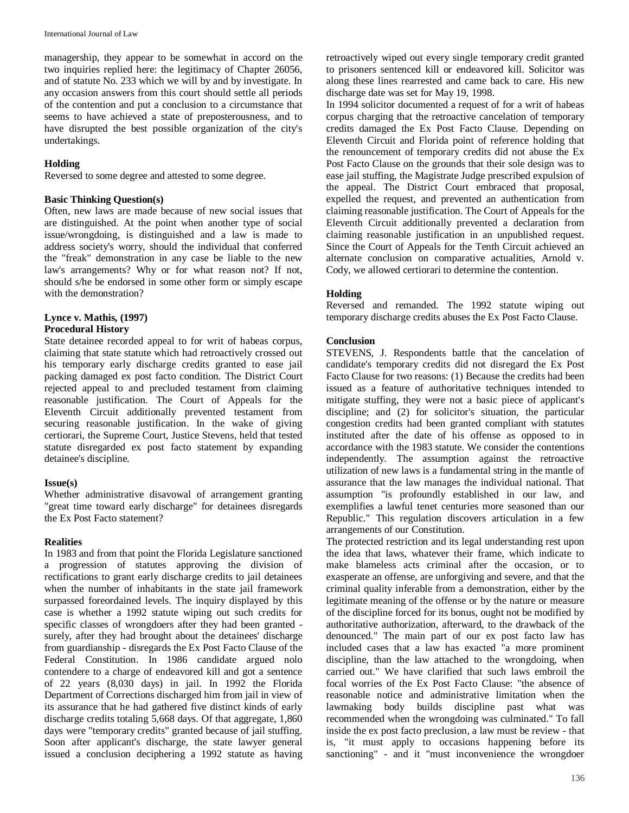managership, they appear to be somewhat in accord on the two inquiries replied here: the legitimacy of Chapter 26056, and of statute No. 233 which we will by and by investigate. In any occasion answers from this court should settle all periods of the contention and put a conclusion to a circumstance that seems to have achieved a state of preposterousness, and to have disrupted the best possible organization of the city's undertakings.

## **Holding**

Reversed to some degree and attested to some degree.

## **Basic Thinking Question(s)**

Often, new laws are made because of new social issues that are distinguished. At the point when another type of social issue/wrongdoing, is distinguished and a law is made to address society's worry, should the individual that conferred the "freak" demonstration in any case be liable to the new law's arrangements? Why or for what reason not? If not, should s/he be endorsed in some other form or simply escape with the demonstration?

#### **Lynce v. Mathis, (1997) Procedural History**

State detainee recorded appeal to for writ of habeas corpus, claiming that state statute which had retroactively crossed out his temporary early discharge credits granted to ease jail packing damaged ex post facto condition. The District Court rejected appeal to and precluded testament from claiming reasonable justification. The Court of Appeals for the Eleventh Circuit additionally prevented testament from securing reasonable justification. In the wake of giving certiorari, the Supreme Court, Justice Stevens, held that tested statute disregarded ex post facto statement by expanding detainee's discipline.

## **Issue(s)**

Whether administrative disavowal of arrangement granting "great time toward early discharge" for detainees disregards the Ex Post Facto statement?

## **Realities**

In 1983 and from that point the Florida Legislature sanctioned a progression of statutes approving the division of rectifications to grant early discharge credits to jail detainees when the number of inhabitants in the state jail framework surpassed foreordained levels. The inquiry displayed by this case is whether a 1992 statute wiping out such credits for specific classes of wrongdoers after they had been granted surely, after they had brought about the detainees' discharge from guardianship - disregards the Ex Post Facto Clause of the Federal Constitution. In 1986 candidate argued nolo contendere to a charge of endeavored kill and got a sentence of 22 years (8,030 days) in jail. In 1992 the Florida Department of Corrections discharged him from jail in view of its assurance that he had gathered five distinct kinds of early discharge credits totaling 5,668 days. Of that aggregate, 1,860 days were "temporary credits" granted because of jail stuffing. Soon after applicant's discharge, the state lawyer general issued a conclusion deciphering a 1992 statute as having

retroactively wiped out every single temporary credit granted to prisoners sentenced kill or endeavored kill. Solicitor was along these lines rearrested and came back to care. His new discharge date was set for May 19, 1998.

In 1994 solicitor documented a request of for a writ of habeas corpus charging that the retroactive cancelation of temporary credits damaged the Ex Post Facto Clause. Depending on Eleventh Circuit and Florida point of reference holding that the renouncement of temporary credits did not abuse the Ex Post Facto Clause on the grounds that their sole design was to ease jail stuffing, the Magistrate Judge prescribed expulsion of the appeal. The District Court embraced that proposal, expelled the request, and prevented an authentication from claiming reasonable justification. The Court of Appeals for the Eleventh Circuit additionally prevented a declaration from claiming reasonable justification in an unpublished request. Since the Court of Appeals for the Tenth Circuit achieved an alternate conclusion on comparative actualities, Arnold v. Cody, we allowed certiorari to determine the contention.

## **Holding**

Reversed and remanded. The 1992 statute wiping out temporary discharge credits abuses the Ex Post Facto Clause.

## **Conclusion**

STEVENS, J. Respondents battle that the cancelation of candidate's temporary credits did not disregard the Ex Post Facto Clause for two reasons: (1) Because the credits had been issued as a feature of authoritative techniques intended to mitigate stuffing, they were not a basic piece of applicant's discipline; and (2) for solicitor's situation, the particular congestion credits had been granted compliant with statutes instituted after the date of his offense as opposed to in accordance with the 1983 statute. We consider the contentions independently. The assumption against the retroactive utilization of new laws is a fundamental string in the mantle of assurance that the law manages the individual national. That assumption "is profoundly established in our law, and exemplifies a lawful tenet centuries more seasoned than our Republic." This regulation discovers articulation in a few arrangements of our Constitution.

The protected restriction and its legal understanding rest upon the idea that laws, whatever their frame, which indicate to make blameless acts criminal after the occasion, or to exasperate an offense, are unforgiving and severe, and that the criminal quality inferable from a demonstration, either by the legitimate meaning of the offense or by the nature or measure of the discipline forced for its bonus, ought not be modified by authoritative authorization, afterward, to the drawback of the denounced." The main part of our ex post facto law has included cases that a law has exacted "a more prominent discipline, than the law attached to the wrongdoing, when carried out." We have clarified that such laws embroil the focal worries of the Ex Post Facto Clause: "the absence of reasonable notice and administrative limitation when the lawmaking body builds discipline past what was recommended when the wrongdoing was culminated." To fall inside the ex post facto preclusion, a law must be review - that is, "it must apply to occasions happening before its sanctioning" - and it "must inconvenience the wrongdoer